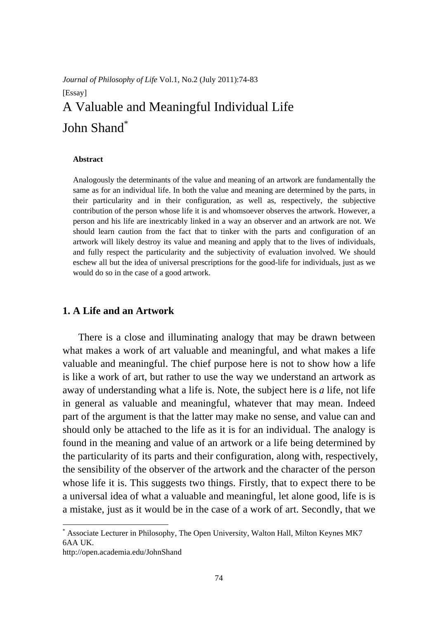# *Journal of Philosophy of Life* Vol.1, No.2 (July 2011):74-83 [Essay] A Valuable and Meaningful Individual Life John Shand<sup>\*</sup>

#### **Abstract**

Analogously the determinants of the value and meaning of an artwork are fundamentally the same as for an individual life. In both the value and meaning are determined by the parts, in their particularity and in their configuration, as well as, respectively, the subjective contribution of the person whose life it is and whomsoever observes the artwork. However, a person and his life are inextricably linked in a way an observer and an artwork are not. We should learn caution from the fact that to tinker with the parts and configuration of an artwork will likely destroy its value and meaning and apply that to the lives of individuals, and fully respect the particularity and the subjectivity of evaluation involved. We should eschew all but the idea of universal prescriptions for the good-life for individuals, just as we would do so in the case of a good artwork.

### **1. A Life and an Artwork**

There is a close and illuminating analogy that may be drawn between what makes a work of art valuable and meaningful, and what makes a life valuable and meaningful. The chief purpose here is not to show how a life is like a work of art, but rather to use the way we understand an artwork as away of understanding what a life is. Note, the subject here is *a* life, not life in general as valuable and meaningful, whatever that may mean. Indeed part of the argument is that the latter may make no sense, and value can and should only be attached to the life as it is for an individual. The analogy is found in the meaning and value of an artwork or a life being determined by the particularity of its parts and their configuration, along with, respectively, the sensibility of the observer of the artwork and the character of the person whose life it is. This suggests two things. Firstly, that to expect there to be a universal idea of what a valuable and meaningful, let alone good, life is is a mistake, just as it would be in the case of a work of art. Secondly, that we

<sup>\*</sup> Associate Lecturer in Philosophy, The Open University, Walton Hall, Milton Keynes MK7 6AA UK.

http://open.academia.edu/JohnShand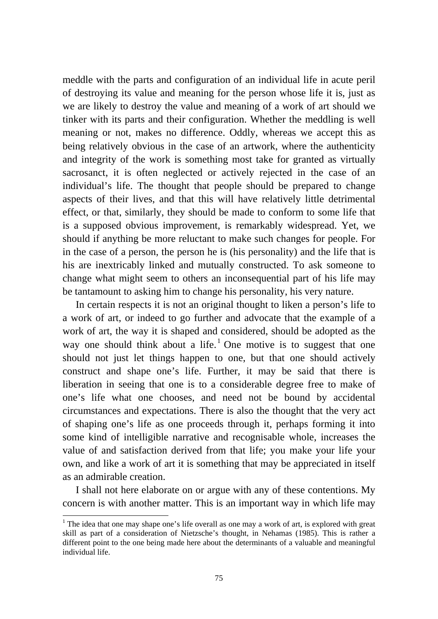meddle with the parts and configuration of an individual life in acute peril of destroying its value and meaning for the person whose life it is, just as we are likely to destroy the value and meaning of a work of art should we tinker with its parts and their configuration. Whether the meddling is well meaning or not, makes no difference. Oddly, whereas we accept this as being relatively obvious in the case of an artwork, where the authenticity and integrity of the work is something most take for granted as virtually sacrosanct, it is often neglected or actively rejected in the case of an individual's life. The thought that people should be prepared to change aspects of their lives, and that this will have relatively little detrimental effect, or that, similarly, they should be made to conform to some life that is a supposed obvious improvement, is remarkably widespread. Yet, we should if anything be more reluctant to make such changes for people. For in the case of a person, the person he is (his personality) and the life that is his are inextricably linked and mutually constructed. To ask someone to change what might seem to others an inconsequential part of his life may be tantamount to asking him to change his personality, his very nature.

In certain respects it is not an original thought to liken a person's life to a work of art, or indeed to go further and advocate that the example of a work of art, the way it is shaped and considered, should be adopted as the way one should think about a life.<sup>1</sup> One motive is to suggest that one should not just let things happen to one, but that one should actively construct and shape one's life. Further, it may be said that there is liberation in seeing that one is to a considerable degree free to make of one's life what one chooses, and need not be bound by accidental circumstances and expectations. There is also the thought that the very act of shaping one's life as one proceeds through it, perhaps forming it into some kind of intelligible narrative and recognisable whole, increases the value of and satisfaction derived from that life; you make your life your own, and like a work of art it is something that may be appreciated in itself as an admirable creation.

I shall not here elaborate on or argue with any of these contentions. My concern is with another matter. This is an important way in which life may

<sup>&</sup>lt;sup>1</sup> The idea that one may shape one's life overall as one may a work of art, is explored with great skill as part of a consideration of Nietzsche's thought, in Nehamas (1985). This is rather a different point to the one being made here about the determinants of a valuable and meaningful individual life.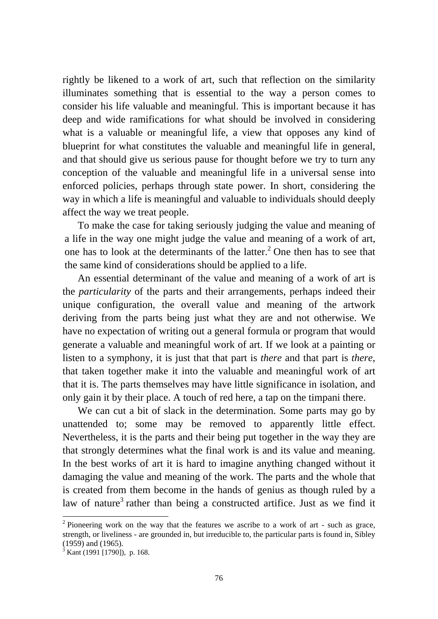rightly be likened to a work of art, such that reflection on the similarity illuminates something that is essential to the way a person comes to consider his life valuable and meaningful. This is important because it has deep and wide ramifications for what should be involved in considering what is a valuable or meaningful life, a view that opposes any kind of blueprint for what constitutes the valuable and meaningful life in general, and that should give us serious pause for thought before we try to turn any conception of the valuable and meaningful life in a universal sense into enforced policies, perhaps through state power. In short, considering the way in which a life is meaningful and valuable to individuals should deeply affect the way we treat people.

To make the case for taking seriously judging the value and meaning of a life in the way one might judge the value and meaning of a work of art, one has to look at the determinants of the latter.<sup>2</sup> One then has to see that the same kind of considerations should be applied to a life.

An essential determinant of the value and meaning of a work of art is the *particularity* of the parts and their arrangements, perhaps indeed their unique configuration, the overall value and meaning of the artwork deriving from the parts being just what they are and not otherwise. We have no expectation of writing out a general formula or program that would generate a valuable and meaningful work of art. If we look at a painting or listen to a symphony, it is just that that part is *there* and that part is *there*, that taken together make it into the valuable and meaningful work of art that it is. The parts themselves may have little significance in isolation, and only gain it by their place. A touch of red here, a tap on the timpani there.

We can cut a bit of slack in the determination. Some parts may go by unattended to; some may be removed to apparently little effect. Nevertheless, it is the parts and their being put together in the way they are that strongly determines what the final work is and its value and meaning. In the best works of art it is hard to imagine anything changed without it damaging the value and meaning of the work. The parts and the whole that is created from them become in the hands of genius as though ruled by a law of nature<sup>3</sup> rather than being a constructed artifice. Just as we find it

<sup>&</sup>lt;sup>2</sup> Pioneering work on the way that the features we ascribe to a work of art - such as grace, strength, or liveliness - are grounded in, but irreducible to, the particular parts is found in, Sibley (1959) and (1965).

<sup>3</sup> Kant (1991 [1790]), p. 168.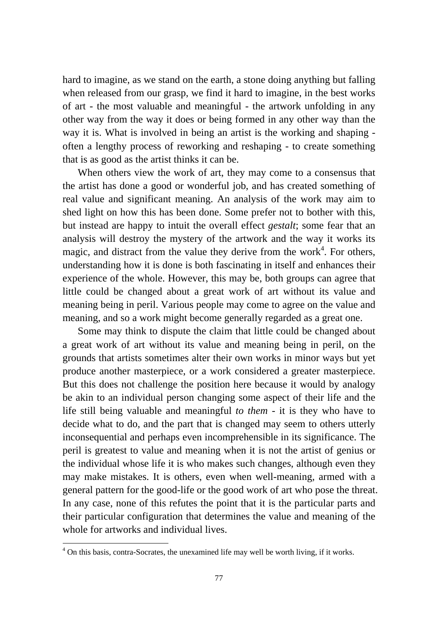hard to imagine, as we stand on the earth, a stone doing anything but falling when released from our grasp, we find it hard to imagine, in the best works of art - the most valuable and meaningful - the artwork unfolding in any other way from the way it does or being formed in any other way than the way it is. What is involved in being an artist is the working and shaping often a lengthy process of reworking and reshaping - to create something that is as good as the artist thinks it can be.

When others view the work of art, they may come to a consensus that the artist has done a good or wonderful job, and has created something of real value and significant meaning. An analysis of the work may aim to shed light on how this has been done. Some prefer not to bother with this, but instead are happy to intuit the overall effect *gestalt*; some fear that an analysis will destroy the mystery of the artwork and the way it works its magic, and distract from the value they derive from the work<sup>4</sup>. For others, understanding how it is done is both fascinating in itself and enhances their experience of the whole. However, this may be, both groups can agree that little could be changed about a great work of art without its value and meaning being in peril. Various people may come to agree on the value and meaning, and so a work might become generally regarded as a great one.

Some may think to dispute the claim that little could be changed about a great work of art without its value and meaning being in peril, on the grounds that artists sometimes alter their own works in minor ways but yet produce another masterpiece, or a work considered a greater masterpiece. But this does not challenge the position here because it would by analogy be akin to an individual person changing some aspect of their life and the life still being valuable and meaningful *to them* - it is they who have to decide what to do, and the part that is changed may seem to others utterly inconsequential and perhaps even incomprehensible in its significance. The peril is greatest to value and meaning when it is not the artist of genius or the individual whose life it is who makes such changes, although even they may make mistakes. It is others, even when well-meaning, armed with a general pattern for the good-life or the good work of art who pose the threat. In any case, none of this refutes the point that it is the particular parts and their particular configuration that determines the value and meaning of the whole for artworks and individual lives.

1

<sup>&</sup>lt;sup>4</sup> On this basis, contra-Socrates, the unexamined life may well be worth living, if it works.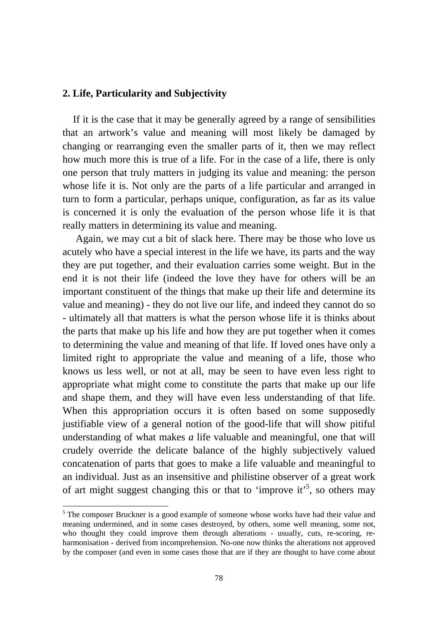## **2. Life, Particularity and Subjectivity**

If it is the case that it may be generally agreed by a range of sensibilities that an artwork's value and meaning will most likely be damaged by changing or rearranging even the smaller parts of it, then we may reflect how much more this is true of a life. For in the case of a life, there is only one person that truly matters in judging its value and meaning: the person whose life it is. Not only are the parts of a life particular and arranged in turn to form a particular, perhaps unique, configuration, as far as its value is concerned it is only the evaluation of the person whose life it is that really matters in determining its value and meaning.

Again, we may cut a bit of slack here. There may be those who love us acutely who have a special interest in the life we have, its parts and the way they are put together, and their evaluation carries some weight. But in the end it is not their life (indeed the love they have for others will be an important constituent of the things that make up their life and determine its value and meaning) - they do not live our life, and indeed they cannot do so - ultimately all that matters is what the person whose life it is thinks about the parts that make up his life and how they are put together when it comes to determining the value and meaning of that life. If loved ones have only a limited right to appropriate the value and meaning of a life, those who knows us less well, or not at all, may be seen to have even less right to appropriate what might come to constitute the parts that make up our life and shape them, and they will have even less understanding of that life. When this appropriation occurs it is often based on some supposedly justifiable view of a general notion of the good-life that will show pitiful understanding of what makes *a* life valuable and meaningful, one that will crudely override the delicate balance of the highly subjectively valued concatenation of parts that goes to make a life valuable and meaningful to an individual. Just as an insensitive and philistine observer of a great work of art might suggest changing this or that to 'improve it'<sup>5</sup>, so others may

1

<sup>&</sup>lt;sup>5</sup> The composer Bruckner is a good example of someone whose works have had their value and meaning undermined, and in some cases destroyed, by others, some well meaning, some not, who thought they could improve them through alterations - usually, cuts, re-scoring, reharmonisation - derived from incomprehension. No-one now thinks the alterations not approved by the composer (and even in some cases those that are if they are thought to have come about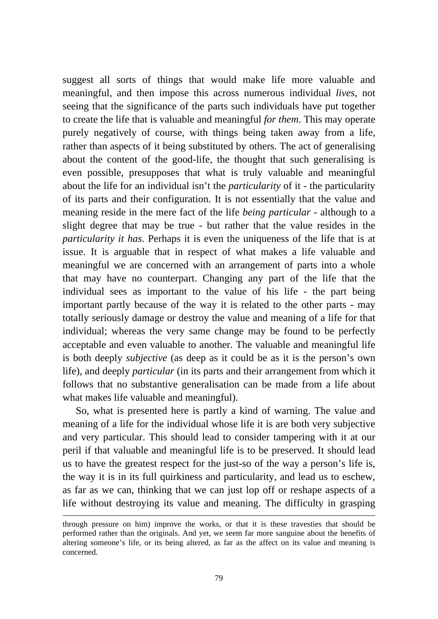suggest all sorts of things that would make life more valuable and meaningful, and then impose this across numerous individual *lives*, not seeing that the significance of the parts such individuals have put together to create the life that is valuable and meaningful *for them*. This may operate purely negatively of course, with things being taken away from a life, rather than aspects of it being substituted by others. The act of generalising about the content of the good-life, the thought that such generalising is even possible, presupposes that what is truly valuable and meaningful about the life for an individual isn't the *particularity* of it - the particularity of its parts and their configuration. It is not essentially that the value and meaning reside in the mere fact of the life *being particular* - although to a slight degree that may be true - but rather that the value resides in the *particularity it has*. Perhaps it is even the uniqueness of the life that is at issue. It is arguable that in respect of what makes a life valuable and meaningful we are concerned with an arrangement of parts into a whole that may have no counterpart. Changing any part of the life that the individual sees as important to the value of his life - the part being important partly because of the way it is related to the other parts - may totally seriously damage or destroy the value and meaning of a life for that individual; whereas the very same change may be found to be perfectly acceptable and even valuable to another. The valuable and meaningful life is both deeply *subjective* (as deep as it could be as it is the person's own life), and deeply *particular* (in its parts and their arrangement from which it follows that no substantive generalisation can be made from a life about what makes life valuable and meaningful).

So, what is presented here is partly a kind of warning. The value and meaning of a life for the individual whose life it is are both very subjective and very particular. This should lead to consider tampering with it at our peril if that valuable and meaningful life is to be preserved. It should lead us to have the greatest respect for the just-so of the way a person's life is, the way it is in its full quirkiness and particularity, and lead us to eschew, as far as we can, thinking that we can just lop off or reshape aspects of a life without destroying its value and meaning. The difficulty in grasping

through pressure on him) improve the works, or that it is these travesties that should be performed rather than the originals. And yet, we seem far more sanguine about the benefits of altering someone's life, or its being altered, as far as the affect on its value and meaning is concerned.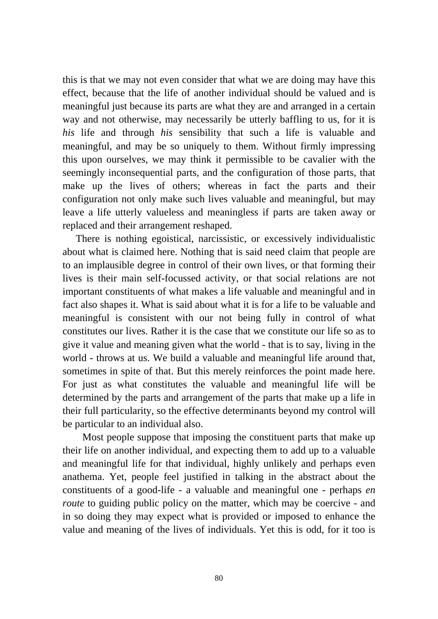this is that we may not even consider that what we are doing may have this effect, because that the life of another individual should be valued and is meaningful just because its parts are what they are and arranged in a certain way and not otherwise, may necessarily be utterly baffling to us, for it is *his* life and through *his* sensibility that such a life is valuable and meaningful, and may be so uniquely to them. Without firmly impressing this upon ourselves, we may think it permissible to be cavalier with the seemingly inconsequential parts, and the configuration of those parts, that make up the lives of others; whereas in fact the parts and their configuration not only make such lives valuable and meaningful, but may leave a life utterly valueless and meaningless if parts are taken away or replaced and their arrangement reshaped.

There is nothing egoistical, narcissistic, or excessively individualistic about what is claimed here. Nothing that is said need claim that people are to an implausible degree in control of their own lives, or that forming their lives is their main self-focussed activity, or that social relations are not important constituents of what makes a life valuable and meaningful and in fact also shapes it. What is said about what it is for a life to be valuable and meaningful is consistent with our not being fully in control of what constitutes our lives. Rather it is the case that we constitute our life so as to give it value and meaning given what the world - that is to say, living in the world - throws at us. We build a valuable and meaningful life around that, sometimes in spite of that. But this merely reinforces the point made here. For just as what constitutes the valuable and meaningful life will be determined by the parts and arrangement of the parts that make up a life in their full particularity, so the effective determinants beyond my control will be particular to an individual also.

Most people suppose that imposing the constituent parts that make up their life on another individual, and expecting them to add up to a valuable and meaningful life for that individual, highly unlikely and perhaps even anathema. Yet, people feel justified in talking in the abstract about the constituents of a good-life - a valuable and meaningful one - perhaps *en route* to guiding public policy on the matter, which may be coercive - and in so doing they may expect what is provided or imposed to enhance the value and meaning of the lives of individuals. Yet this is odd, for it too is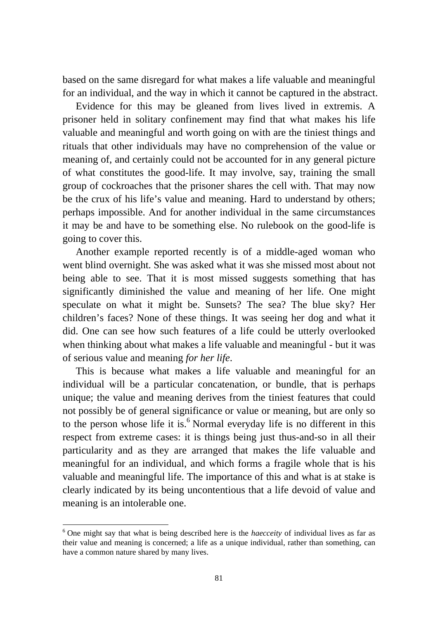based on the same disregard for what makes a life valuable and meaningful for an individual, and the way in which it cannot be captured in the abstract.

Evidence for this may be gleaned from lives lived in extremis. A prisoner held in solitary confinement may find that what makes his life valuable and meaningful and worth going on with are the tiniest things and rituals that other individuals may have no comprehension of the value or meaning of, and certainly could not be accounted for in any general picture of what constitutes the good-life. It may involve, say, training the small group of cockroaches that the prisoner shares the cell with. That may now be the crux of his life's value and meaning. Hard to understand by others; perhaps impossible. And for another individual in the same circumstances it may be and have to be something else. No rulebook on the good-life is going to cover this.

Another example reported recently is of a middle-aged woman who went blind overnight. She was asked what it was she missed most about not being able to see. That it is most missed suggests something that has significantly diminished the value and meaning of her life. One might speculate on what it might be. Sunsets? The sea? The blue sky? Her children's faces? None of these things. It was seeing her dog and what it did. One can see how such features of a life could be utterly overlooked when thinking about what makes a life valuable and meaningful - but it was of serious value and meaning *for her life*.

This is because what makes a life valuable and meaningful for an individual will be a particular concatenation, or bundle, that is perhaps unique; the value and meaning derives from the tiniest features that could not possibly be of general significance or value or meaning, but are only so to the person whose life it is.<sup>6</sup> Normal everyday life is no different in this respect from extreme cases: it is things being just thus-and-so in all their particularity and as they are arranged that makes the life valuable and meaningful for an individual, and which forms a fragile whole that is his valuable and meaningful life. The importance of this and what is at stake is clearly indicated by its being uncontentious that a life devoid of value and meaning is an intolerable one.

<sup>&</sup>lt;sup>6</sup> One might say that what is being described here is the *haecceity* of individual lives as far as their value and meaning is concerned; a life as a unique individual, rather than something, can have a common nature shared by many lives.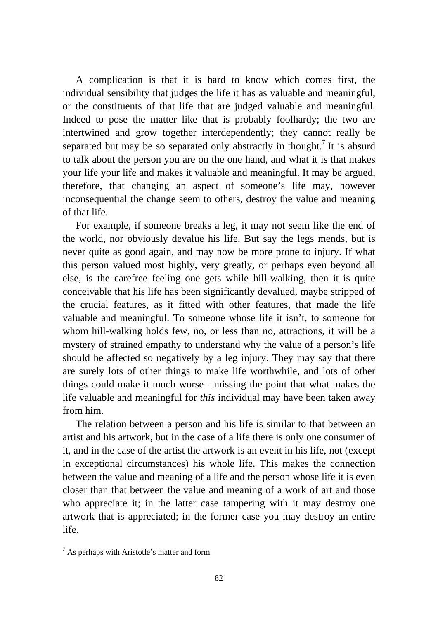A complication is that it is hard to know which comes first, the individual sensibility that judges the life it has as valuable and meaningful, or the constituents of that life that are judged valuable and meaningful. Indeed to pose the matter like that is probably foolhardy; the two are intertwined and grow together interdependently; they cannot really be separated but may be so separated only abstractly in thought.<sup>7</sup> It is absurd to talk about the person you are on the one hand, and what it is that makes your life your life and makes it valuable and meaningful. It may be argued, therefore, that changing an aspect of someone's life may, however inconsequential the change seem to others, destroy the value and meaning of that life.

For example, if someone breaks a leg, it may not seem like the end of the world, nor obviously devalue his life. But say the legs mends, but is never quite as good again, and may now be more prone to injury. If what this person valued most highly, very greatly, or perhaps even beyond all else, is the carefree feeling one gets while hill-walking, then it is quite conceivable that his life has been significantly devalued, maybe stripped of the crucial features, as it fitted with other features, that made the life valuable and meaningful. To someone whose life it isn't, to someone for whom hill-walking holds few, no, or less than no, attractions, it will be a mystery of strained empathy to understand why the value of a person's life should be affected so negatively by a leg injury. They may say that there are surely lots of other things to make life worthwhile, and lots of other things could make it much worse - missing the point that what makes the life valuable and meaningful for *this* individual may have been taken away from him.

The relation between a person and his life is similar to that between an artist and his artwork, but in the case of a life there is only one consumer of it, and in the case of the artist the artwork is an event in his life, not (except in exceptional circumstances) his whole life. This makes the connection between the value and meaning of a life and the person whose life it is even closer than that between the value and meaning of a work of art and those who appreciate it; in the latter case tampering with it may destroy one artwork that is appreciated; in the former case you may destroy an entire life.

1

 $<sup>7</sup>$  As perhaps with Aristotle's matter and form.</sup>